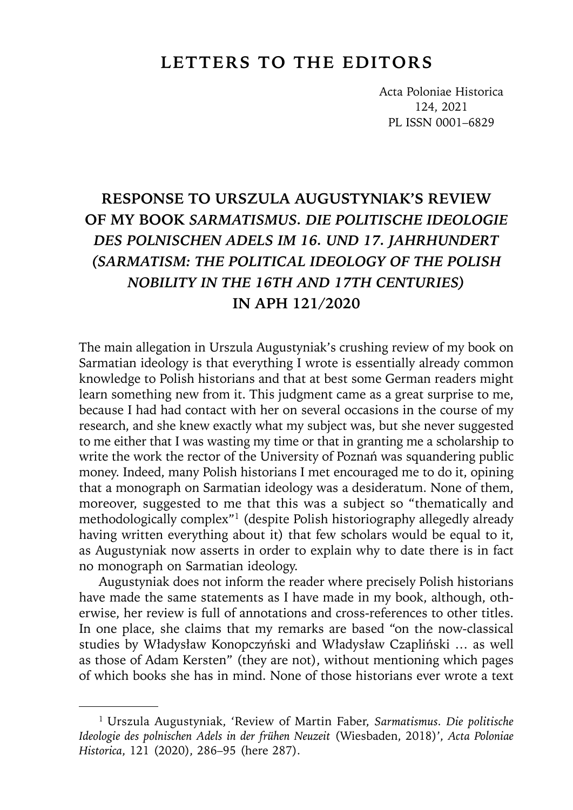## **LETTERS TO THE EDITORS**

Acta Poloniae Historica 124, 2021 PL ISSN 0001–6829

## **RESPONSE TO URSZULA AUGUSTYNIAK'S REVIEW OF MY BOOK** *SARMATISMUS. DIE POLITISCHE IDEOLOGIE DES POLNISCHEN ADELS IM 16. UND 17. JAHRHUNDERT (SARMATISM: THE POLITICAL IDEOLOGY OF THE POLISH NOBILITY IN THE 16TH AND 17TH CENTURIES)* **IN APH 121/2020**

The main allegation in Urszula Augustyniak's crushing review of my book on Sarmatian ideology is that everything I wrote is essentially already common knowledge to Polish historians and that at best some German readers might learn something new from it. This judgment came as a great surprise to me, because I had had contact with her on several occasions in the course of my research, and she knew exactly what my subject was, but she never suggested to me either that I was wasting my time or that in granting me a scholarship to write the work the rector of the University of Poznań was squandering public money. Indeed, many Polish historians I met encouraged me to do it, opining that a monograph on Sarmatian ideology was a desideratum. None of them, moreover, suggested to me that this was a subject so "thematically and methodologically complex"1 (despite Polish historiography allegedly already having written everything about it) that few scholars would be equal to it, as Augustyniak now asserts in order to explain why to date there is in fact no monograph on Sarmatian ideology.

Augustyniak does not inform the reader where precisely Polish historians have made the same statements as I have made in my book, although, otherwise, her review is full of annotations and cross-references to other titles. In one place, she claims that my remarks are based "on the now-classical studies by Władysław Konopczyński and Władysław Czapliński … as well as those of Adam Kersten" (they are not), without mentioning which pages of which books she has in mind. None of those historians ever wrote a text

<sup>1</sup> Urszula Augustyniak, 'Review of Martin Faber, *Sarmatismus. Die politische Ideologie des polnischen Adels in der frühen Neuzeit* (Wiesbaden, 2018)', *Acta Poloniae Historica*, 121 (2020), 286–95 (here 287).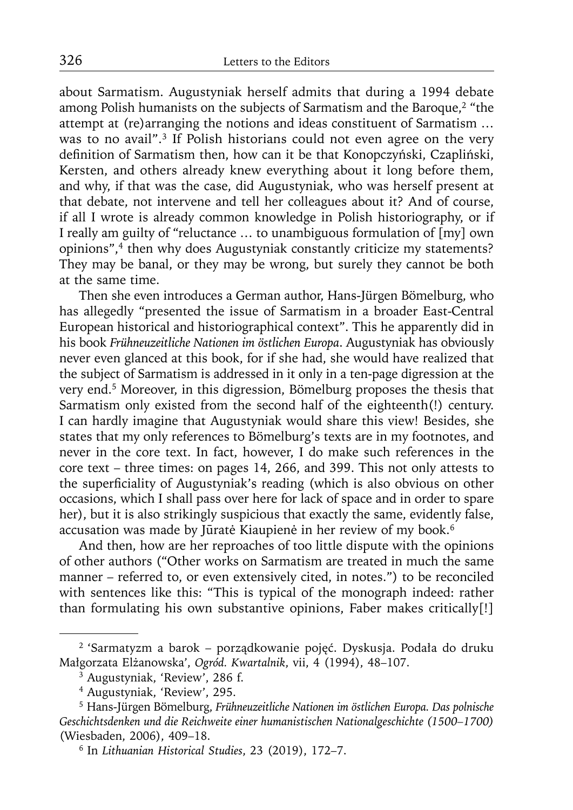about Sarmatism. Augustyniak herself admits that during a 1994 debate among Polish humanists on the subjects of Sarmatism and the Baroque,<sup>2</sup> "the attempt at (re)arranging the notions and ideas constituent of Sarmatism … was to no avail".<sup>3</sup> If Polish historians could not even agree on the very definition of Sarmatism then, how can it be that Konopczyński, Czapliński, Kersten, and others already knew everything about it long before them, and why, if that was the case, did Augustyniak, who was herself present at that debate, not intervene and tell her colleagues about it? And of course, if all I wrote is already common knowledge in Polish historiography, or if I really am guilty of "reluctance … to unambiguous formulation of [my] own opinions",<sup>4</sup> then why does Augustyniak constantly criticize my statements? They may be banal, or they may be wrong, but surely they cannot be both at the same time.

Then she even introduces a German author, Hans-Jürgen Bömelburg, who has allegedly "presented the issue of Sarmatism in a broader East-Central European historical and historiographical context". This he apparently did in his book *Frühneuzeitliche Nationen im östlichen Europa*. Augustyniak has obviously never even glanced at this book, for if she had, she would have realized that the subject of Sarmatism is addressed in it only in a ten-page digression at the very end.5 Moreover, in this digression, Bömelburg proposes the thesis that Sarmatism only existed from the second half of the eighteenth(!) century. I can hardly imagine that Augustyniak would share this view! Besides, she states that my only references to Bömelburg's texts are in my footnotes, and never in the core text. In fact, however, I do make such references in the core text – three times: on pages 14, 266, and 399. This not only attests to the superficiality of Augustyniak's reading (which is also obvious on other occasions, which I shall pass over here for lack of space and in order to spare her), but it is also strikingly suspicious that exactly the same, evidently false, accusation was made by Jūratė Kiaupienė in her review of my book.6

And then, how are her reproaches of too little dispute with the opinions of other authors ("Other works on Sarmatism are treated in much the same manner – referred to, or even extensively cited, in notes.") to be reconciled with sentences like this: "This is typical of the monograph indeed: rather than formulating his own substantive opinions, Faber makes critically[!]

<sup>2 &#</sup>x27;Sarmatyzm a barok – porządkowanie pojęć. Dyskusja. Podała do druku Małgorzata Elżanowska', *Ogród. Kwartalnik*, vii, 4 (1994), 48–107.

 $3$  Augustyniak, 'Review', 286 f.

<sup>4</sup> Augustyniak, 'Review', 295.

<sup>5</sup> Hans-Jürgen Bömelburg, *Frühneuzeitliche Nationen im östlichen Europa. Das polnische Geschichtsdenken und die Reichweite einer humanistischen Nationalgeschichte (1500–1700)* (Wiesbaden, 2006), 409–18.

<sup>6</sup> In *Lithuanian Historical Studies*, 23 (2019), 172–7.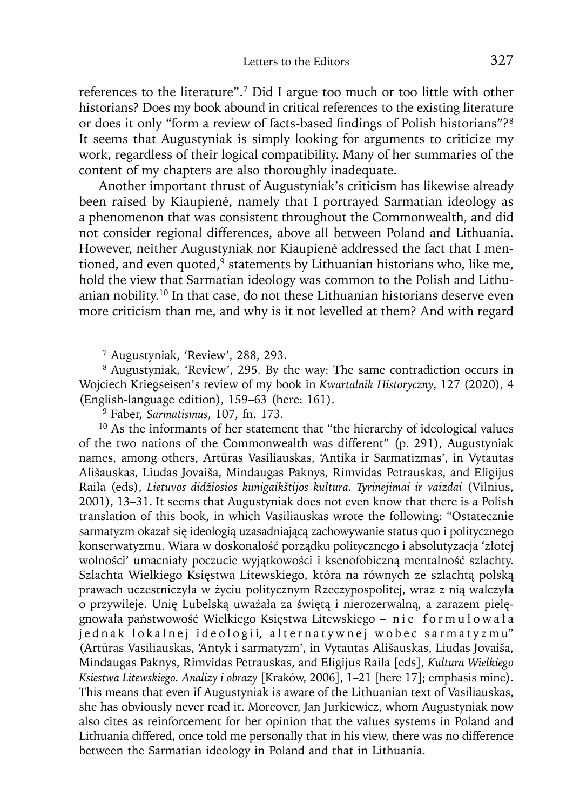references to the literature".7 Did I argue too much or too little with other historians? Does my book abound in critical references to the existing literature or does it only "form a review of facts-based findings of Polish historians"?<sup>8</sup> It seems that Augustyniak is simply looking for arguments to criticize my work, regardless of their logical compatibility. Many of her summaries of the content of my chapters are also thoroughly inadequate.

Another important thrust of Augustyniak's criticism has likewise already been raised by Kiaupienė, namely that I portrayed Sarmatian ideology as a phenomenon that was consistent throughout the Commonwealth, and did not consider regional differences, above all between Poland and Lithuania. However, neither Augustyniak nor Kiaupienė addressed the fact that I mentioned, and even quoted, $9$  statements by Lithuanian historians who, like me, hold the view that Sarmatian ideology was common to the Polish and Lithuanian nobility.10 In that case, do not these Lithuanian historians deserve even more criticism than me, and why is it not levelled at them? And with regard

<sup>10</sup> As the informants of her statement that "the hierarchy of ideological values of the two nations of the Commonwealth was different" (p. 291), Augustyniak names, among others, Artūras Vasiliauskas, 'Antika ir Sarmatizmas', in Vytautas Ališauskas, Liudas Jovaiša, Mindaugas Paknys, Rimvidas Petrauskas, and Eligijus Raila (eds), *Lietuvos didžiosios kunigaikštijos kultura. Tyrinejimai ir vaizdai* (Vilnius, 2001), 13–31. It seems that Augustyniak does not even know that there is a Polish translation of this book, in which Vasiliauskas wrote the following: "Ostatecznie sarmatyzm okazał się ideologią uzasadniającą zachowywanie status quo i politycznego konserwatyzmu. Wiara w doskonałość porządku politycznego i absolutyzacja 'złotej wolności' umacniały poczucie wyjątkowości i ksenofobiczną mentalność szlachty. Szlachta Wielkiego Księstwa Litewskiego, która na równych ze szlachtą polską prawach uczestniczyła w życiu politycznym Rzeczypospolitej, wraz z nią walczyła o przywileje. Unię Lubelską uważała za świętą i nierozerwalną, a zarazem pielęgnowała państwowość Wielkiego Księstwa Litewskiego – nie formu ł owa ł a jednak lokalnej ideologii, alternatywnej wobec sarmatyzmu" (Artūras Vasiliauskas, 'Antyk i sarmatyzm', in Vytautas Ališauskas, Liudas Jovaiša, Mindaugas Paknys, Rimvidas Petrauskas, and Eligijus Raila [eds], *Kultura Wielkiego Ksiestwa Litewskiego. Analizy i obrazy* [Kraków, 2006], 1–21 [here 17]; emphasis mine). This means that even if Augustyniak is aware of the Lithuanian text of Vasiliauskas, she has obviously never read it. Moreover, Jan Jurkiewicz, whom Augustyniak now also cites as reinforcement for her opinion that the values systems in Poland and Lithuania differed, once told me personally that in his view, there was no difference between the Sarmatian ideology in Poland and that in Lithuania.

<sup>7</sup> Augustyniak, 'Review', 288, 293.

<sup>8</sup> Augustyniak, 'Review', 295. By the way: The same contradiction occurs in Wojciech Kriegseisen's review of my book in *Kwartalnik Historyczny*, 127 (2020), 4 (English-language edition), 159–63 (here: 161).

<sup>9</sup> Faber, *Sarmatismus*, 107, fn. 173.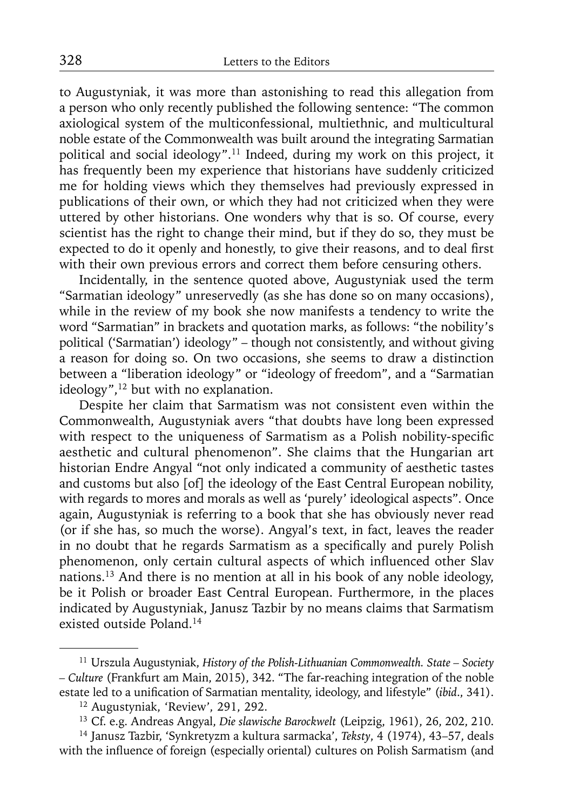to Augustyniak, it was more than astonishing to read this allegation from a person who only recently published the following sentence: "The common axiological system of the multiconfessional, multiethnic, and multicultural noble estate of the Commonwealth was built around the integrating Sarmatian political and social ideology".11 Indeed, during my work on this project, it has frequently been my experience that historians have suddenly criticized me for holding views which they themselves had previously expressed in publications of their own, or which they had not criticized when they were uttered by other historians. One wonders why that is so. Of course, every scientist has the right to change their mind, but if they do so, they must be expected to do it openly and honestly, to give their reasons, and to deal first with their own previous errors and correct them before censuring others.

Incidentally, in the sentence quoted above, Augustyniak used the term "Sarmatian ideology" unreservedly (as she has done so on many occasions), while in the review of my book she now manifests a tendency to write the word "Sarmatian" in brackets and quotation marks, as follows: "the nobility's political ('Sarmatian') ideology" – though not consistently, and without giving a reason for doing so. On two occasions, she seems to draw a distinction between a "liberation ideology" or "ideology of freedom", and a "Sarmatian ideology",<sup>12</sup> but with no explanation.

Despite her claim that Sarmatism was not consistent even within the Commonwealth, Augustyniak avers "that doubts have long been expressed with respect to the uniqueness of Sarmatism as a Polish nobility-specific aesthetic and cultural phenomenon". She claims that the Hungarian art historian Endre Angyal "not only indicated a community of aesthetic tastes and customs but also [of] the ideology of the East Central European nobility, with regards to mores and morals as well as 'purely' ideological aspects". Once again, Augustyniak is referring to a book that she has obviously never read (or if she has, so much the worse). Angyal's text, in fact, leaves the reader in no doubt that he regards Sarmatism as a specifically and purely Polish phenomenon, only certain cultural aspects of which influenced other Slav nations.13 And there is no mention at all in his book of any noble ideology, be it Polish or broader East Central European. Furthermore, in the places indicated by Augustyniak, Janusz Tazbir by no means claims that Sarmatism existed outside Poland.14

<sup>11</sup> Urszula Augustyniak, *History of the Polish-Lithuanian Commonwealth. State – Society – Culture* (Frankfurt am Main, 2015), 342. "The far-reaching integration of the noble estate led to a unification of Sarmatian mentality, ideology, and lifestyle" (*ibid.*, 341).

<sup>12</sup> Augustyniak, 'Review', 291, 292.

<sup>13</sup> Cf. e.g. Andreas Angyal, *Die slawische Barockwelt* (Leipzig, 1961), 26, 202, 210.

<sup>14</sup> Janusz Tazbir, 'Synkretyzm a kultura sarmacka', *Teksty*, 4 (1974), 43–57, deals with the influence of foreign (especially oriental) cultures on Polish Sarmatism (and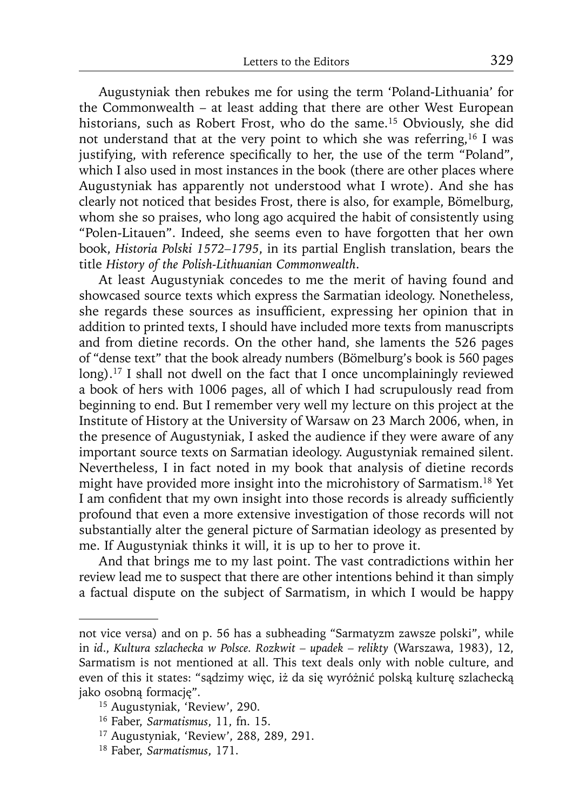Augustyniak then rebukes me for using the term 'Poland-Lithuania' for the Commonwealth – at least adding that there are other West European historians, such as Robert Frost, who do the same.<sup>15</sup> Obviously, she did not understand that at the very point to which she was referring,16 I was justifying, with reference specifically to her, the use of the term "Poland", which I also used in most instances in the book (there are other places where Augustyniak has apparently not understood what I wrote). And she has clearly not noticed that besides Frost, there is also, for example, Bömelburg, whom she so praises, who long ago acquired the habit of consistently using "Polen-Litauen". Indeed, she seems even to have forgotten that her own book, *Historia Polski 1572–1795*, in its partial English translation, bears the title *History of the Polish-Lithuanian Commonwealth*.

At least Augustyniak concedes to me the merit of having found and showcased source texts which express the Sarmatian ideology. Nonetheless, she regards these sources as insufficient, expressing her opinion that in addition to printed texts, I should have included more texts from manuscripts and from dietine records. On the other hand, she laments the 526 pages of "dense text" that the book already numbers (Bömelburg's book is 560 pages long).<sup>17</sup> I shall not dwell on the fact that I once uncomplainingly reviewed a book of hers with 1006 pages, all of which I had scrupulously read from beginning to end. But I remember very well my lecture on this project at the Institute of History at the University of Warsaw on 23 March 2006, when, in the presence of Augustyniak, I asked the audience if they were aware of any important source texts on Sarmatian ideology. Augustyniak remained silent. Nevertheless, I in fact noted in my book that analysis of dietine records might have provided more insight into the microhistory of Sarmatism.18 Yet I am confident that my own insight into those records is already sufficiently profound that even a more extensive investigation of those records will not substantially alter the general picture of Sarmatian ideology as presented by me. If Augustyniak thinks it will, it is up to her to prove it.

And that brings me to my last point. The vast contradictions within her review lead me to suspect that there are other intentions behind it than simply a factual dispute on the subject of Sarmatism, in which I would be happy

not vice versa) and on p. 56 has a subheading "Sarmatyzm zawsze polski", while in *id*., *Kultura szlachecka w Polsce. Rozkwit – upadek – relikty* (Warszawa, 1983), 12, Sarmatism is not mentioned at all. This text deals only with noble culture, and even of this it states: "sądzimy więc, iż da się wyróżnić polską kulturę szlachecką jako osobną formację".

<sup>15</sup> Augustyniak, 'Review', 290.

<sup>16</sup> Faber, *Sarmatismus*, 11, fn. 15.

<sup>17</sup> Augustyniak, 'Review', 288, 289, 291.

<sup>18</sup> Faber, *Sarmatismus*, 171.